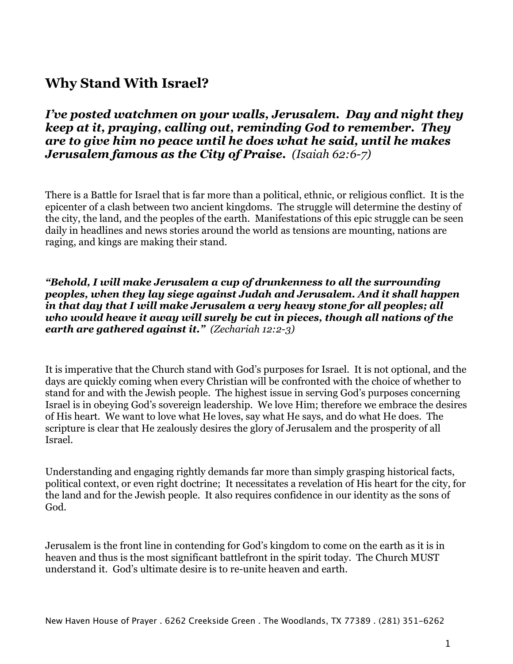# **Why Stand With Israel?**

*I've posted watchmen on your walls, Jerusalem. Day and night they keep at it, praying, calling out, reminding God to remember. They are to give him no peace until he does what he said, until he makes Jerusalem famous as the City of Praise. (Isaiah 62:6-7)*

There is a Battle for Israel that is far more than a political, ethnic, or religious conflict. It is the epicenter of a clash between two ancient kingdoms. The struggle will determine the destiny of the city, the land, and the peoples of the earth. Manifestations of this epic struggle can be seen daily in headlines and news stories around the world as tensions are mounting, nations are raging, and kings are making their stand.

*"Behold, I will make Jerusalem a cup of drunkenness to all the surrounding peoples, when they lay siege against Judah and Jerusalem. And it shall happen in that day that I will make Jerusalem a very heavy stone for all peoples; all who would heave it away will surely be cut in pieces, though all nations of the earth are gathered against it." (Zechariah 12:2-3)*

It is imperative that the Church stand with God's purposes for Israel. It is not optional, and the days are quickly coming when every Christian will be confronted with the choice of whether to stand for and with the Jewish people. The highest issue in serving God's purposes concerning Israel is in obeying God's sovereign leadership. We love Him; therefore we embrace the desires of His heart. We want to love what He loves, say what He says, and do what He does. The scripture is clear that He zealously desires the glory of Jerusalem and the prosperity of all Israel.

Understanding and engaging rightly demands far more than simply grasping historical facts, political context, or even right doctrine; It necessitates a revelation of His heart for the city, for the land and for the Jewish people. It also requires confidence in our identity as the sons of God.

Jerusalem is the front line in contending for God's kingdom to come on the earth as it is in heaven and thus is the most significant battlefront in the spirit today. The Church MUST understand it. God's ultimate desire is to re-unite heaven and earth.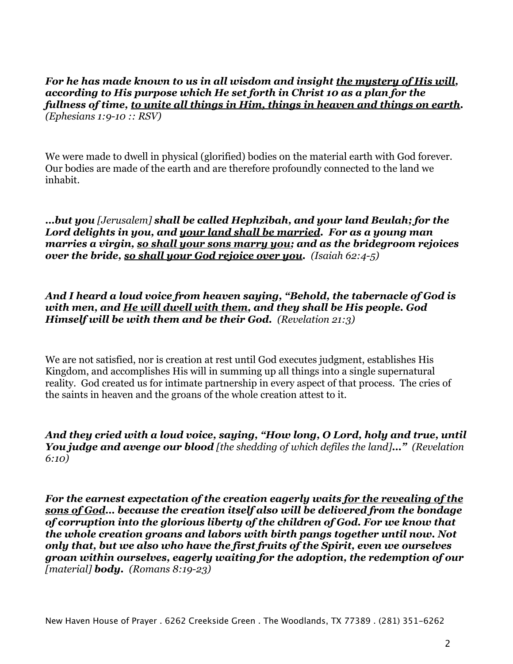*For he has made known to us in all wisdom and insight the mystery of His will, according to His purpose which He set forth in Christ 10 as a plan for the fullness of time, to unite all things in Him, things in heaven and things on earth. (Ephesians 1:9-10 :: RSV)*

We were made to dwell in physical (glorified) bodies on the material earth with God forever. Our bodies are made of the earth and are therefore profoundly connected to the land we inhabit.

*…but you [Jerusalem] shall be called Hephzibah, and your land Beulah; for the Lord delights in you, and your land shall be married. For as a young man marries a virgin, so shall your sons marry you; and as the bridegroom rejoices over the bride, so shall your God rejoice over you. (Isaiah 62:4-5)*

*And I heard a loud voice from heaven saying, "Behold, the tabernacle of God is with men, and He will dwell with them, and they shall be His people. God Himself will be with them and be their God. (Revelation 21:3)*

We are not satisfied, nor is creation at rest until God executes judgment, establishes His Kingdom, and accomplishes His will in summing up all things into a single supernatural reality. God created us for intimate partnership in every aspect of that process. The cries of the saints in heaven and the groans of the whole creation attest to it.

*And they cried with a loud voice, saying, "How long, O Lord, holy and true, until You judge and avenge our blood [the shedding of which defiles the land]…" (Revelation 6:10)*

*For the earnest expectation of the creation eagerly waits for the revealing of the sons of God… because the creation itself also will be delivered from the bondage of corruption into the glorious liberty of the children of God. For we know that the whole creation groans and labors with birth pangs together until now. Not only that, but we also who have the first fruits of the Spirit, even we ourselves groan within ourselves, eagerly waiting for the adoption, the redemption of our [material] body. (Romans 8:19-23)*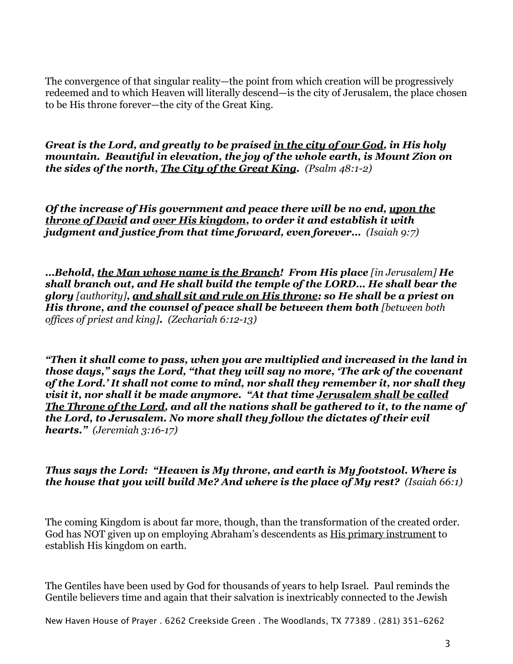The convergence of that singular reality—the point from which creation will be progressively redeemed and to which Heaven will literally descend—is the city of Jerusalem, the place chosen to be His throne forever—the city of the Great King.

*Great is the Lord, and greatly to be praised in the city of our God, in His holy mountain. Beautiful in elevation, the joy of the whole earth, is Mount Zion on the sides of the north, The City of the Great King. (Psalm 48:1-2)*

*Of the increase of His government and peace there will be no end, upon the throne of David and over His kingdom, to order it and establish it with judgment and justice from that time forward, even forever… (Isaiah 9:7)*

*…Behold, the Man whose name is the Branch! From His place [in Jerusalem] He shall branch out, and He shall build the temple of the LORD… He shall bear the glory [authority], and shall sit and rule on His throne; so He shall be a priest on His throne, and the counsel of peace shall be between them both [between both offices of priest and king]. (Zechariah 6:12-13)*

*"Then it shall come to pass, when you are multiplied and increased in the land in those days," says the Lord, "that they will say no more, 'The ark of the covenant of the Lord.' It shall not come to mind, nor shall they remember it, nor shall they visit it, nor shall it be made anymore. "At that time Jerusalem shall be called The Throne of the Lord, and all the nations shall be gathered to it, to the name of the Lord, to Jerusalem. No more shall they follow the dictates of their evil hearts." (Jeremiah 3:16-17)*

*Thus says the Lord: "Heaven is My throne, and earth is My footstool. Where is the house that you will build Me? And where is the place of My rest? (Isaiah 66:1)*

The coming Kingdom is about far more, though, than the transformation of the created order. God has NOT given up on employing Abraham's descendents as His primary instrument to establish His kingdom on earth.

The Gentiles have been used by God for thousands of years to help Israel. Paul reminds the Gentile believers time and again that their salvation is inextricably connected to the Jewish

New Haven House of Prayer . 6262 Creekside Green . The Woodlands, TX 77389 . (281) 351-6262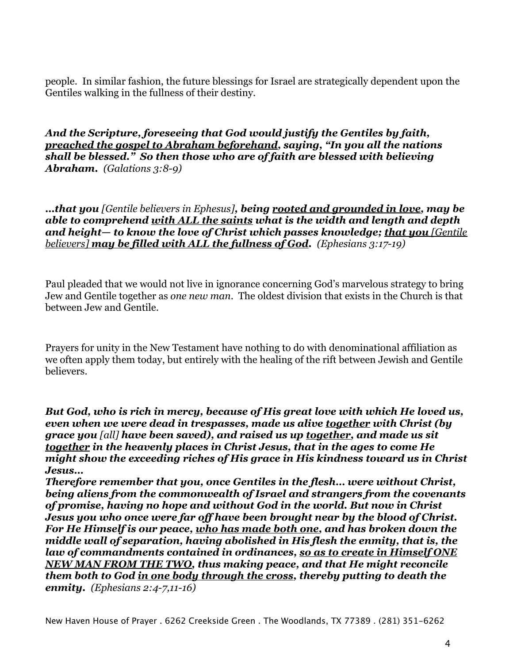people. In similar fashion, the future blessings for Israel are strategically dependent upon the Gentiles walking in the fullness of their destiny.

*And the Scripture, foreseeing that God would justify the Gentiles by faith, preached the gospel to Abraham beforehand, saying, "In you all the nations shall be blessed." So then those who are of faith are blessed with believing Abraham. (Galations 3:8-9)*

*…that you [Gentile believers in Ephesus], being rooted and grounded in love, may be able to comprehend with ALL the saints what is the width and length and depth and height— to know the love of Christ which passes knowledge; that you [Gentile believers] may be filled with ALL the fullness of God. (Ephesians 3:17-19)*

Paul pleaded that we would not live in ignorance concerning God's marvelous strategy to bring Jew and Gentile together as *one new man*. The oldest division that exists in the Church is that between Jew and Gentile.

Prayers for unity in the New Testament have nothing to do with denominational affiliation as we often apply them today, but entirely with the healing of the rift between Jewish and Gentile believers.

*But God, who is rich in mercy, because of His great love with which He loved us, even when we were dead in trespasses, made us alive together with Christ (by grace you [all] have been saved), and raised us up together, and made us sit together in the heavenly places in Christ Jesus, that in the ages to come He might show the exceeding riches of His grace in His kindness toward us in Christ Jesus…*

*Therefore remember that you, once Gentiles in the flesh… were without Christ, being aliens from the commonwealth of Israel and strangers from the covenants of promise, having no hope and without God in the world. But now in Christ Jesus you who once were far off have been brought near by the blood of Christ. For He Himself is our peace, who has made both one, and has broken down the middle wall of separation, having abolished in His flesh the enmity, that is, the law of commandments contained in ordinances, so as to create in Himself ONE NEW MAN FROM THE TWO, thus making peace, and that He might reconcile them both to God in one body through the cross, thereby putting to death the enmity. (Ephesians 2:4-7,11-16)*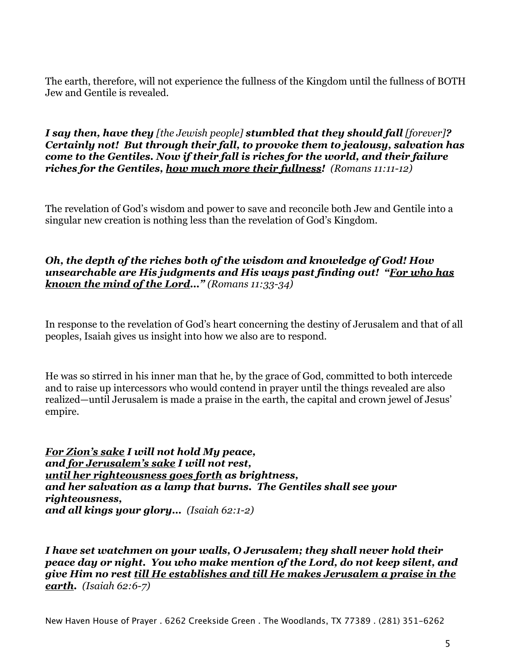The earth, therefore, will not experience the fullness of the Kingdom until the fullness of BOTH Jew and Gentile is revealed.

*I say then, have they [the Jewish people] stumbled that they should fall [forever]? Certainly not! But through their fall, to provoke them to jealousy, salvation has come to the Gentiles. Now if their fall is riches for the world, and their failure riches for the Gentiles, how much more their fullness! (Romans 11:11-12)*

The revelation of God's wisdom and power to save and reconcile both Jew and Gentile into a singular new creation is nothing less than the revelation of God's Kingdom.

## *Oh, the depth of the riches both of the wisdom and knowledge of God! How unsearchable are His judgments and His ways past finding out! "For who has known the mind of the Lord…" (Romans 11:33-34)*

In response to the revelation of God's heart concerning the destiny of Jerusalem and that of all peoples, Isaiah gives us insight into how we also are to respond.

He was so stirred in his inner man that he, by the grace of God, committed to both intercede and to raise up intercessors who would contend in prayer until the things revealed are also realized—until Jerusalem is made a praise in the earth, the capital and crown jewel of Jesus' empire.

*For Zion's sake I will not hold My peace, and for Jerusalem's sake I will not rest, until her righteousness goes forth as brightness, and her salvation as a lamp that burns. The Gentiles shall see your righteousness, and all kings your glory… (Isaiah 62:1-2)*

*I have set watchmen on your walls, O Jerusalem; they shall never hold their peace day or night. You who make mention of the Lord, do not keep silent, and give Him no rest till He establishes and till He makes Jerusalem a praise in the earth. (Isaiah 62:6-7)*

New Haven House of Prayer . 6262 Creekside Green . The Woodlands, TX 77389 . (281) 351-6262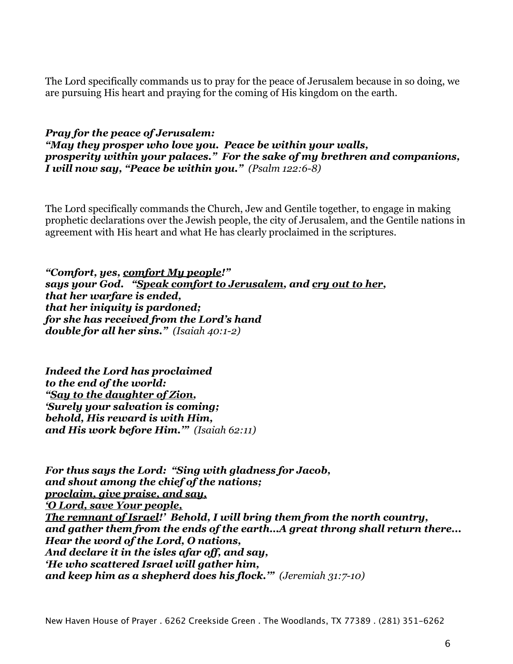The Lord specifically commands us to pray for the peace of Jerusalem because in so doing, we are pursuing His heart and praying for the coming of His kingdom on the earth.

#### *Pray for the peace of Jerusalem: "May they prosper who love you. Peace be within your walls, prosperity within your palaces." For the sake of my brethren and companions, I will now say, "Peace be within you." (Psalm 122:6-8)*

The Lord specifically commands the Church, Jew and Gentile together, to engage in making prophetic declarations over the Jewish people, the city of Jerusalem, and the Gentile nations in agreement with His heart and what He has clearly proclaimed in the scriptures.

*"Comfort, yes, comfort My people!" says your God. "Speak comfort to Jerusalem, and cry out to her, that her warfare is ended, that her iniquity is pardoned; for she has received from the Lord's hand double for all her sins." (Isaiah 40:1-2)*

*Indeed the Lord has proclaimed to the end of the world: "Say to the daughter of Zion, 'Surely your salvation is coming; behold, His reward is with Him, and His work before Him.'" (Isaiah 62:11)*

*For thus says the Lord: "Sing with gladness for Jacob, and shout among the chief of the nations; proclaim, give praise, and say, 'O Lord, save Your people, The remnant of Israel!' Behold, I will bring them from the north country, and gather them from the ends of the earth…A great throng shall return there... Hear the word of the Lord, O nations, And declare it in the isles afar off, and say, 'He who scattered Israel will gather him, and keep him as a shepherd does his flock.'" (Jeremiah 31:7-10)*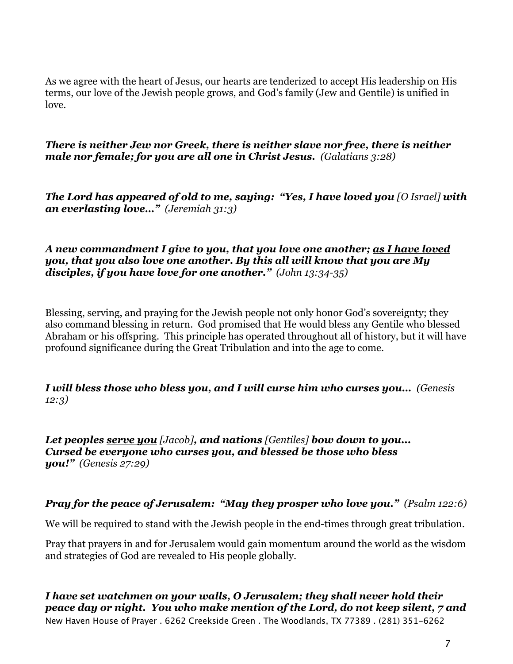As we agree with the heart of Jesus, our hearts are tenderized to accept His leadership on His terms, our love of the Jewish people grows, and God's family (Jew and Gentile) is unified in love.

*There is neither Jew nor Greek, there is neither slave nor free, there is neither male nor female; for you are all one in Christ Jesus. (Galatians 3:28)*

*The Lord has appeared of old to me, saying: "Yes, I have loved you [O Israel] with an everlasting love…" (Jeremiah 31:3)*

*A new commandment I give to you, that you love one another; as I have loved you, that you also love one another. By this all will know that you are My disciples, if you have love for one another." (John 13:34-35)*

Blessing, serving, and praying for the Jewish people not only honor God's sovereignty; they also command blessing in return. God promised that He would bless any Gentile who blessed Abraham or his offspring. This principle has operated throughout all of history, but it will have profound significance during the Great Tribulation and into the age to come.

*I will bless those who bless you, and I will curse him who curses you… (Genesis 12:3)*

*Let peoples serve you [Jacob], and nations [Gentiles] bow down to you... Cursed be everyone who curses you, and blessed be those who bless you!" (Genesis 27:29)*

## *Pray for the peace of Jerusalem: "May they prosper who love you." (Psalm 122:6)*

We will be required to stand with the Jewish people in the end-times through great tribulation.

Pray that prayers in and for Jerusalem would gain momentum around the world as the wisdom and strategies of God are revealed to His people globally.

*I have set watchmen on your walls, O Jerusalem; they shall never hold their peace day or night. You who make mention of the Lord, do not keep silent, 7 and*  New Haven House of Prayer . 6262 Creekside Green . The Woodlands, TX 77389 . (281) 351-6262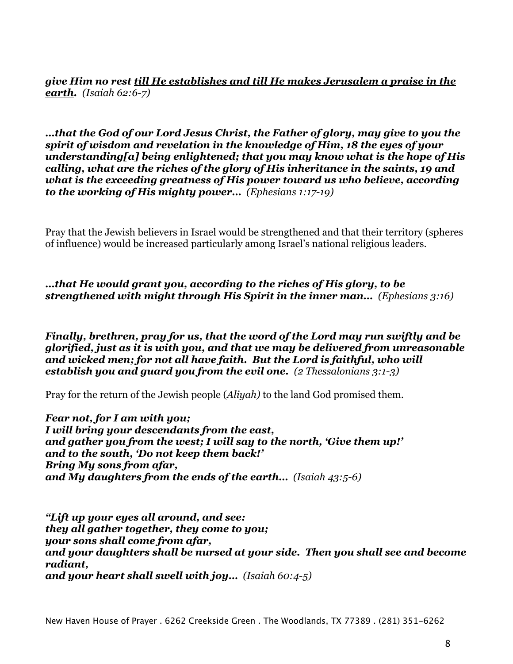*give Him no rest till He establishes and till He makes Jerusalem a praise in the earth. (Isaiah 62:6-7)*

*…that the God of our Lord Jesus Christ, the Father of glory, may give to you the spirit of wisdom and revelation in the knowledge of Him, 18 the eyes of your understanding[a] being enlightened; that you may know what is the hope of His calling, what are the riches of the glory of His inheritance in the saints, 19 and what is the exceeding greatness of His power toward us who believe, according to the working of His mighty power… (Ephesians 1:17-19)*

Pray that the Jewish believers in Israel would be strengthened and that their territory (spheres of influence) would be increased particularly among Israel's national religious leaders.

*…that He would grant you, according to the riches of His glory, to be strengthened with might through His Spirit in the inner man… (Ephesians 3:16)*

*Finally, brethren, pray for us, that the word of the Lord may run swiftly and be glorified, just as it is with you, and that we may be delivered from unreasonable and wicked men; for not all have faith. But the Lord is faithful, who will establish you and guard you from the evil one. (2 Thessalonians 3:1-3)*

Pray for the return of the Jewish people (*Aliyah)* to the land God promised them.

*Fear not, for I am with you; I will bring your descendants from the east, and gather you from the west; I will say to the north, 'Give them up!' and to the south, 'Do not keep them back!' Bring My sons from afar, and My daughters from the ends of the earth… (Isaiah 43:5-6)*

*"Lift up your eyes all around, and see: they all gather together, they come to you; your sons shall come from afar, and your daughters shall be nursed at your side. Then you shall see and become radiant, and your heart shall swell with joy… (Isaiah 60:4-5)*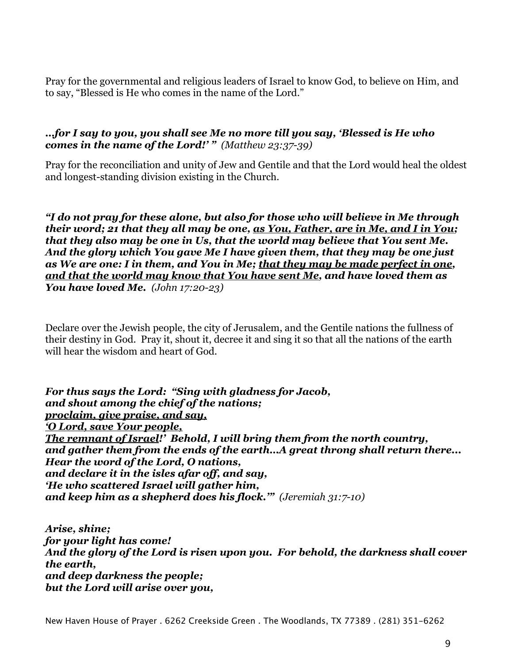Pray for the governmental and religious leaders of Israel to know God, to believe on Him, and to say, "Blessed is He who comes in the name of the Lord."

### *…for I say to you, you shall see Me no more till you say, 'Blessed is He who comes in the name of the Lord!' " (Matthew 23:37-39)*

Pray for the reconciliation and unity of Jew and Gentile and that the Lord would heal the oldest and longest-standing division existing in the Church.

*"I do not pray for these alone, but also for those who will believe in Me through their word; 21 that they all may be one, as You, Father, are in Me, and I in You; that they also may be one in Us, that the world may believe that You sent Me. And the glory which You gave Me I have given them, that they may be one just as We are one: I in them, and You in Me; that they may be made perfect in one, and that the world may know that You have sent Me, and have loved them as You have loved Me. (John 17:20-23)*

Declare over the Jewish people, the city of Jerusalem, and the Gentile nations the fullness of their destiny in God. Pray it, shout it, decree it and sing it so that all the nations of the earth will hear the wisdom and heart of God.

*For thus says the Lord: "Sing with gladness for Jacob, and shout among the chief of the nations; proclaim, give praise, and say, 'O Lord, save Your people, The remnant of Israel!' Behold, I will bring them from the north country, and gather them from the ends of the earth…A great throng shall return there... Hear the word of the Lord, O nations, and declare it in the isles afar off, and say, 'He who scattered Israel will gather him, and keep him as a shepherd does his flock.'" (Jeremiah 31:7-10)*

*Arise, shine; for your light has come! And the glory of the Lord is risen upon you. For behold, the darkness shall cover the earth, and deep darkness the people; but the Lord will arise over you,*